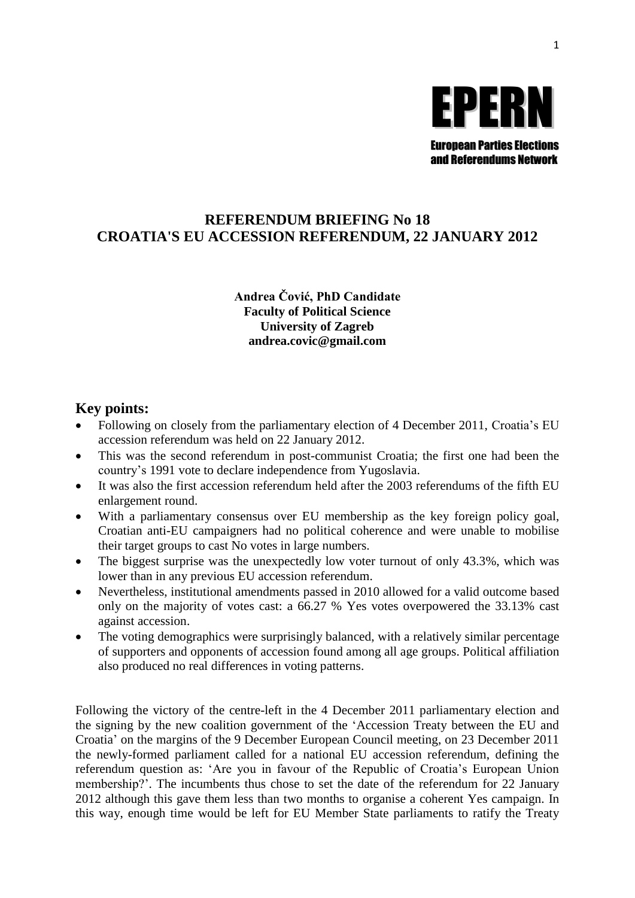

# **REFERENDUM BRIEFING No 18 CROATIA'S EU ACCESSION REFERENDUM, 22 JANUARY 2012**

#### **Andrea Čović, PhD Candidate Faculty of Political Science University of Zagreb andrea.covic@gmail.com**

## **Key points:**

- Following on closely from the parliamentary election of 4 December 2011, Croatia's EU accession referendum was held on 22 January 2012.
- This was the second referendum in post-communist Croatia; the first one had been the country's 1991 vote to declare independence from Yugoslavia.
- It was also the first accession referendum held after the 2003 referendums of the fifth EU enlargement round.
- With a parliamentary consensus over EU membership as the key foreign policy goal, Croatian anti-EU campaigners had no political coherence and were unable to mobilise their target groups to cast No votes in large numbers.
- The biggest surprise was the unexpectedly low voter turnout of only 43.3%, which was lower than in any previous EU accession referendum.
- Nevertheless, institutional amendments passed in 2010 allowed for a valid outcome based only on the majority of votes cast: a 66.27 % Yes votes overpowered the 33.13% cast against accession.
- The voting demographics were surprisingly balanced, with a relatively similar percentage of supporters and opponents of accession found among all age groups. Political affiliation also produced no real differences in voting patterns.

Following the victory of the centre-left in the 4 December 2011 parliamentary election and the signing by the new coalition government of the 'Accession Treaty between the EU and Croatia' on the margins of the 9 December European Council meeting, on 23 December 2011 the newly-formed parliament called for a national EU accession referendum, defining the referendum question as: 'Are you in favour of the Republic of Croatia's European Union membership?'. The incumbents thus chose to set the date of the referendum for 22 January 2012 although this gave them less than two months to organise a coherent Yes campaign. In this way, enough time would be left for EU Member State parliaments to ratify the Treaty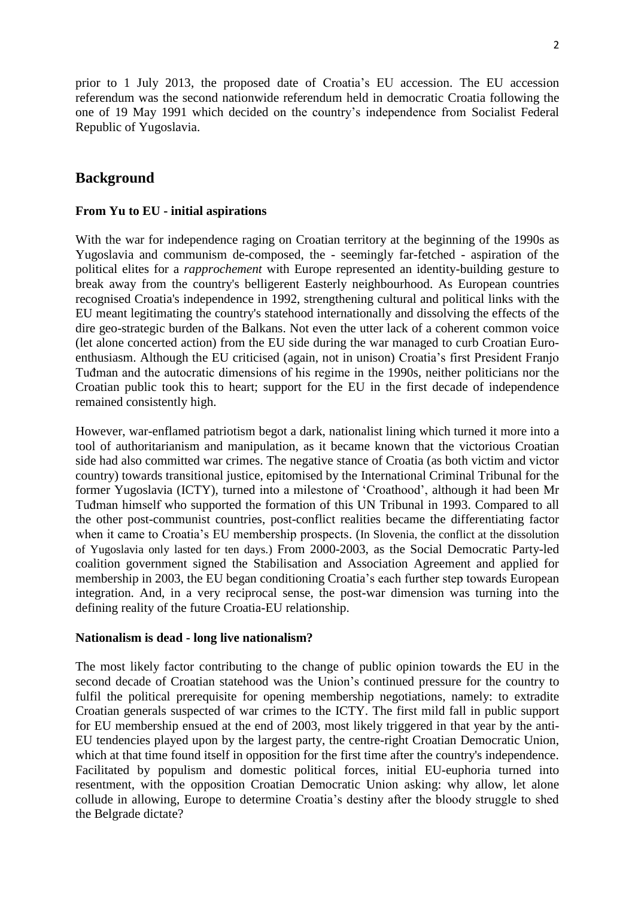prior to 1 July 2013, the proposed date of Croatia's EU accession. The EU accession referendum was the second nationwide referendum held in democratic Croatia following the one of 19 May 1991 which decided on the country's independence from Socialist Federal Republic of Yugoslavia.

### **Background**

#### **From Yu to EU - initial aspirations**

With the war for independence raging on Croatian territory at the beginning of the 1990s as Yugoslavia and communism de-composed, the - seemingly far-fetched - aspiration of the political elites for a *rapprochement* with Europe represented an identity-building gesture to break away from the country's belligerent Easterly neighbourhood. As European countries recognised Croatia's independence in 1992, strengthening cultural and political links with the EU meant legitimating the country's statehood internationally and dissolving the effects of the dire geo-strategic burden of the Balkans. Not even the utter lack of a coherent common voice (let alone concerted action) from the EU side during the war managed to curb Croatian Euroenthusiasm. Although the EU criticised (again, not in unison) Croatia's first President Franjo Tuđman and the autocratic dimensions of his regime in the 1990s, neither politicians nor the Croatian public took this to heart; support for the EU in the first decade of independence remained consistently high.

However, war-enflamed patriotism begot a dark, nationalist lining which turned it more into a tool of authoritarianism and manipulation, as it became known that the victorious Croatian side had also committed war crimes. The negative stance of Croatia (as both victim and victor country) towards transitional justice, epitomised by the International Criminal Tribunal for the former Yugoslavia (ICTY), turned into a milestone of 'Croathood', although it had been Mr Tuđman himself who supported the formation of this UN Tribunal in 1993. Compared to all the other post-communist countries, post-conflict realities became the differentiating factor when it came to Croatia's EU membership prospects. (In Slovenia, the conflict at the dissolution of Yugoslavia only lasted for ten days.) From 2000-2003, as the Social Democratic Party-led coalition government signed the Stabilisation and Association Agreement and applied for membership in 2003, the EU began conditioning Croatia's each further step towards European integration. And, in a very reciprocal sense, the post-war dimension was turning into the defining reality of the future Croatia-EU relationship.

#### **Nationalism is dead - long live nationalism?**

The most likely factor contributing to the change of public opinion towards the EU in the second decade of Croatian statehood was the Union's continued pressure for the country to fulfil the political prerequisite for opening membership negotiations, namely: to extradite Croatian generals suspected of war crimes to the ICTY. The first mild fall in public support for EU membership ensued at the end of 2003, most likely triggered in that year by the anti-EU tendencies played upon by the largest party, the centre-right Croatian Democratic Union, which at that time found itself in opposition for the first time after the country's independence. Facilitated by populism and domestic political forces, initial EU-euphoria turned into resentment, with the opposition Croatian Democratic Union asking: why allow, let alone collude in allowing, Europe to determine Croatia's destiny after the bloody struggle to shed the Belgrade dictate?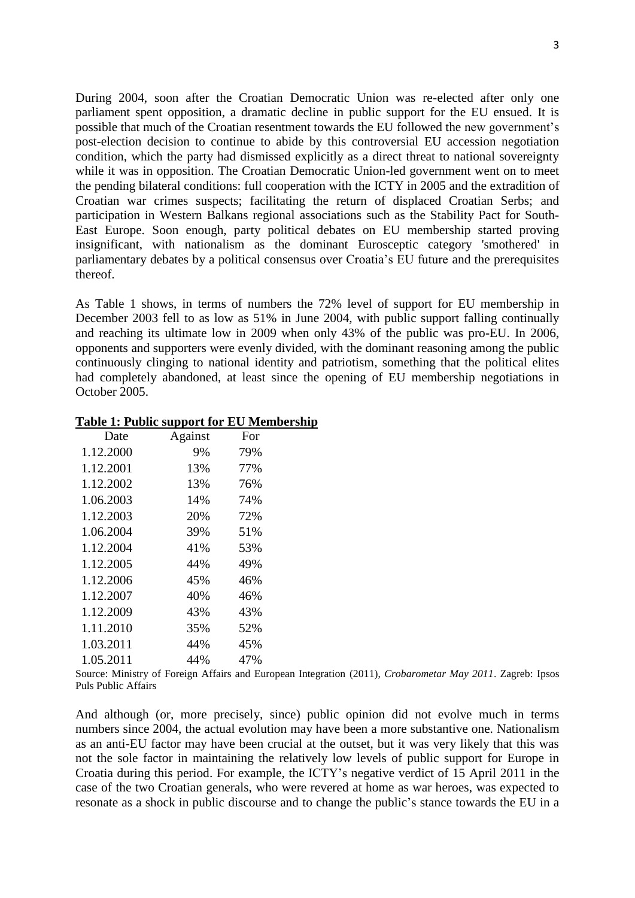During 2004, soon after the Croatian Democratic Union was re-elected after only one parliament spent opposition, a dramatic decline in public support for the EU ensued. It is possible that much of the Croatian resentment towards the EU followed the new government's post-election decision to continue to abide by this controversial EU accession negotiation condition, which the party had dismissed explicitly as a direct threat to national sovereignty while it was in opposition. The Croatian Democratic Union-led government went on to meet the pending bilateral conditions: full cooperation with the ICTY in 2005 and the extradition of Croatian war crimes suspects; facilitating the return of displaced Croatian Serbs; and participation in Western Balkans regional associations such as the Stability Pact for South-East Europe. Soon enough, party political debates on EU membership started proving insignificant, with nationalism as the dominant Eurosceptic category 'smothered' in parliamentary debates by a political consensus over Croatia's EU future and the prerequisites thereof.

As Table 1 shows, in terms of numbers the 72% level of support for EU membership in December 2003 fell to as low as 51% in June 2004, with public support falling continually and reaching its ultimate low in 2009 when only 43% of the public was pro-EU. In 2006, opponents and supporters were evenly divided, with the dominant reasoning among the public continuously clinging to national identity and patriotism, something that the political elites had completely abandoned, at least since the opening of EU membership negotiations in October 2005.

| Date      | Against | For |
|-----------|---------|-----|
| 1.12.2000 | 9%      | 79% |
| 1.12.2001 | 13%     | 77% |
| 1.12.2002 | 13%     | 76% |
| 1.06.2003 | 14%     | 74% |
| 1.12.2003 | 20%     | 72% |
| 1.06.2004 | 39%     | 51% |
| 1.12.2004 | 41%     | 53% |
| 1.12.2005 | 44%     | 49% |
| 1.12.2006 | 45%     | 46% |
| 1.12.2007 | 40%     | 46% |
| 1.12.2009 | 43%     | 43% |
| 1.11.2010 | 35%     | 52% |
| 1.03.2011 | 44%     | 45% |
| 1.05.2011 | 44%     | 47% |

#### **Table 1: Public support for EU Membership**

Source: Ministry of Foreign Affairs and European Integration (2011), *Crobarometar May 2011*. Zagreb: Ipsos Puls Public Affairs

And although (or, more precisely, since) public opinion did not evolve much in terms numbers since 2004, the actual evolution may have been a more substantive one. Nationalism as an anti-EU factor may have been crucial at the outset, but it was very likely that this was not the sole factor in maintaining the relatively low levels of public support for Europe in Croatia during this period. For example, the ICTY's negative verdict of 15 April 2011 in the case of the two Croatian generals, who were revered at home as war heroes, was expected to resonate as a shock in public discourse and to change the public's stance towards the EU in a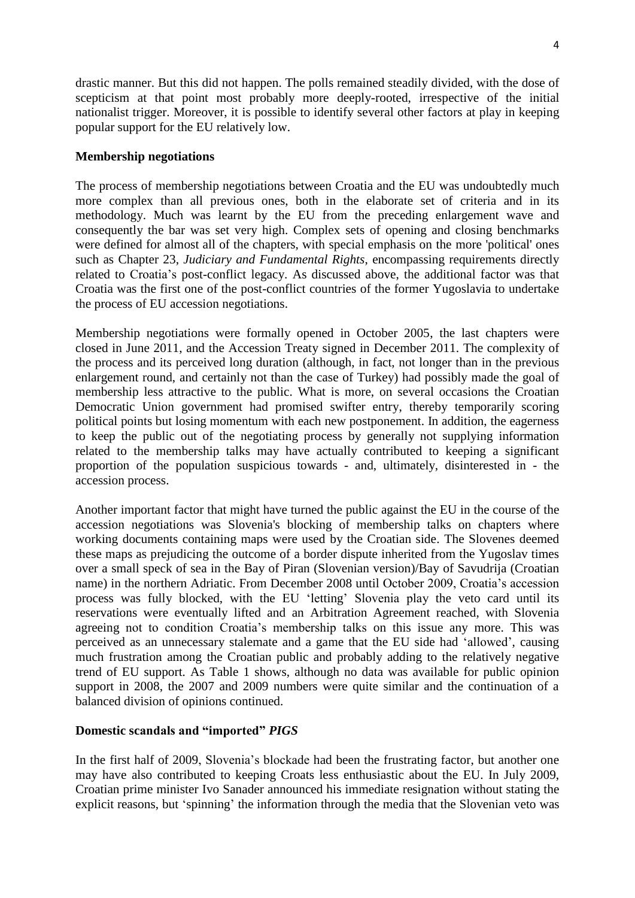drastic manner. But this did not happen. The polls remained steadily divided, with the dose of scepticism at that point most probably more deeply-rooted, irrespective of the initial nationalist trigger. Moreover, it is possible to identify several other factors at play in keeping popular support for the EU relatively low.

#### **Membership negotiations**

The process of membership negotiations between Croatia and the EU was undoubtedly much more complex than all previous ones, both in the elaborate set of criteria and in its methodology. Much was learnt by the EU from the preceding enlargement wave and consequently the bar was set very high. Complex sets of opening and closing benchmarks were defined for almost all of the chapters, with special emphasis on the more 'political' ones such as Chapter 23, *Judiciary and Fundamental Rights*, encompassing requirements directly related to Croatia's post-conflict legacy. As discussed above, the additional factor was that Croatia was the first one of the post-conflict countries of the former Yugoslavia to undertake the process of EU accession negotiations.

Membership negotiations were formally opened in October 2005, the last chapters were closed in June 2011, and the Accession Treaty signed in December 2011. The complexity of the process and its perceived long duration (although, in fact, not longer than in the previous enlargement round, and certainly not than the case of Turkey) had possibly made the goal of membership less attractive to the public. What is more, on several occasions the Croatian Democratic Union government had promised swifter entry, thereby temporarily scoring political points but losing momentum with each new postponement. In addition, the eagerness to keep the public out of the negotiating process by generally not supplying information related to the membership talks may have actually contributed to keeping a significant proportion of the population suspicious towards - and, ultimately, disinterested in - the accession process.

Another important factor that might have turned the public against the EU in the course of the accession negotiations was Slovenia's blocking of membership talks on chapters where working documents containing maps were used by the Croatian side. The Slovenes deemed these maps as prejudicing the outcome of a border dispute inherited from the Yugoslav times over a small speck of sea in the Bay of Piran (Slovenian version)/Bay of Savudrija (Croatian name) in the northern Adriatic. From December 2008 until October 2009, Croatia's accession process was fully blocked, with the EU 'letting' Slovenia play the veto card until its reservations were eventually lifted and an Arbitration Agreement reached, with Slovenia agreeing not to condition Croatia's membership talks on this issue any more. This was perceived as an unnecessary stalemate and a game that the EU side had 'allowed', causing much frustration among the Croatian public and probably adding to the relatively negative trend of EU support. As Table 1 shows, although no data was available for public opinion support in 2008, the 2007 and 2009 numbers were quite similar and the continuation of a balanced division of opinions continued.

#### **Domestic scandals and "imported"** *PIGS*

In the first half of 2009, Slovenia's blockade had been the frustrating factor, but another one may have also contributed to keeping Croats less enthusiastic about the EU. In July 2009, Croatian prime minister Ivo Sanader announced his immediate resignation without stating the explicit reasons, but 'spinning' the information through the media that the Slovenian veto was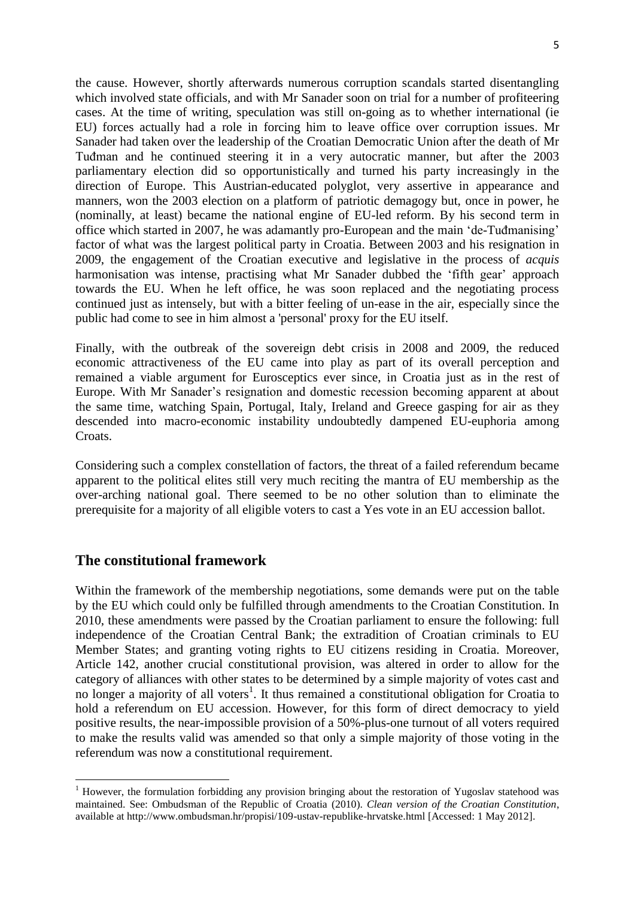the cause. However, shortly afterwards numerous corruption scandals started disentangling which involved state officials, and with Mr Sanader soon on trial for a number of profiteering cases. At the time of writing, speculation was still on-going as to whether international (ie EU) forces actually had a role in forcing him to leave office over corruption issues. Mr Sanader had taken over the leadership of the Croatian Democratic Union after the death of Mr Tuđman and he continued steering it in a very autocratic manner, but after the 2003 parliamentary election did so opportunistically and turned his party increasingly in the direction of Europe. This Austrian-educated polyglot, very assertive in appearance and manners, won the 2003 election on a platform of patriotic demagogy but, once in power, he (nominally, at least) became the national engine of EU-led reform. By his second term in office which started in 2007, he was adamantly pro-European and the main 'de-Tuđmanising' factor of what was the largest political party in Croatia. Between 2003 and his resignation in 2009, the engagement of the Croatian executive and legislative in the process of *acquis* harmonisation was intense, practising what Mr Sanader dubbed the 'fifth gear' approach towards the EU. When he left office, he was soon replaced and the negotiating process continued just as intensely, but with a bitter feeling of un-ease in the air, especially since the public had come to see in him almost a 'personal' proxy for the EU itself.

Finally, with the outbreak of the sovereign debt crisis in 2008 and 2009, the reduced economic attractiveness of the EU came into play as part of its overall perception and remained a viable argument for Eurosceptics ever since, in Croatia just as in the rest of Europe. With Mr Sanader's resignation and domestic recession becoming apparent at about the same time, watching Spain, Portugal, Italy, Ireland and Greece gasping for air as they descended into macro-economic instability undoubtedly dampened EU-euphoria among Croats.

Considering such a complex constellation of factors, the threat of a failed referendum became apparent to the political elites still very much reciting the mantra of EU membership as the over-arching national goal. There seemed to be no other solution than to eliminate the prerequisite for a majority of all eligible voters to cast a Yes vote in an EU accession ballot.

### **The constitutional framework**

1

Within the framework of the membership negotiations, some demands were put on the table by the EU which could only be fulfilled through amendments to the Croatian Constitution. In 2010, these amendments were passed by the Croatian parliament to ensure the following: full independence of the Croatian Central Bank; the extradition of Croatian criminals to EU Member States; and granting voting rights to EU citizens residing in Croatia. Moreover, Article 142, another crucial constitutional provision, was altered in order to allow for the category of alliances with other states to be determined by a simple majority of votes cast and no longer a majority of all voters<sup>1</sup>. It thus remained a constitutional obligation for Croatia to hold a referendum on EU accession. However, for this form of direct democracy to yield positive results, the near-impossible provision of a 50%-plus-one turnout of all voters required to make the results valid was amended so that only a simple majority of those voting in the referendum was now a constitutional requirement.

<sup>&</sup>lt;sup>1</sup> However, the formulation forbidding any provision bringing about the restoration of Yugoslav statehood was maintained. See: Ombudsman of the Republic of Croatia (2010). *Clean version of the Croatian Constitution*, available at http://www.ombudsman.hr/propisi/109-ustav-republike-hrvatske.html [Accessed: 1 May 2012].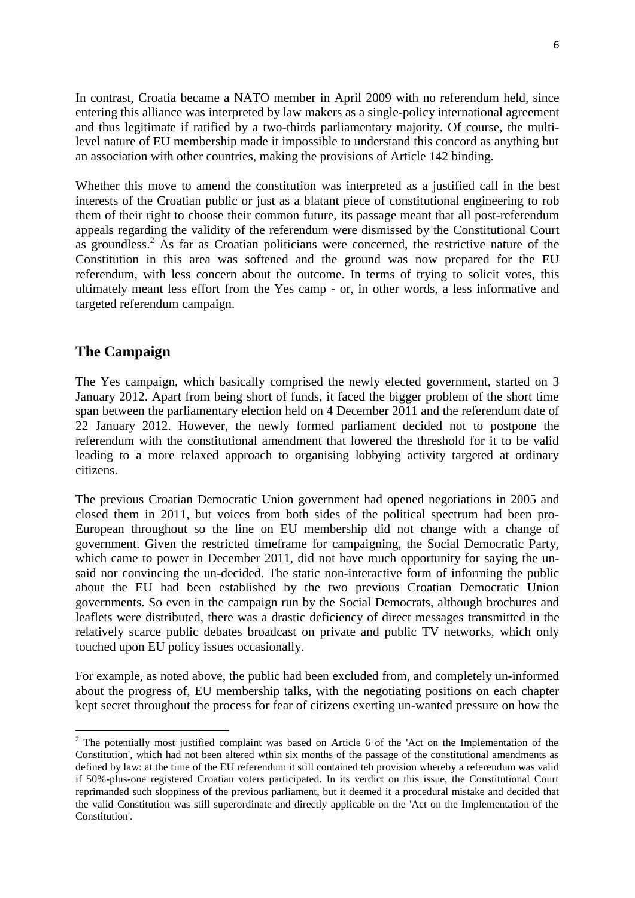In contrast, Croatia became a NATO member in April 2009 with no referendum held, since entering this alliance was interpreted by law makers as a single-policy international agreement and thus legitimate if ratified by a two-thirds parliamentary majority. Of course, the multilevel nature of EU membership made it impossible to understand this concord as anything but an association with other countries, making the provisions of Article 142 binding.

Whether this move to amend the constitution was interpreted as a justified call in the best interests of the Croatian public or just as a blatant piece of constitutional engineering to rob them of their right to choose their common future, its passage meant that all post-referendum appeals regarding the validity of the referendum were dismissed by the Constitutional Court as groundless.<sup>2</sup> As far as Croatian politicians were concerned, the restrictive nature of the Constitution in this area was softened and the ground was now prepared for the EU referendum, with less concern about the outcome. In terms of trying to solicit votes, this ultimately meant less effort from the Yes camp - or, in other words, a less informative and targeted referendum campaign.

### **The Campaign**

**.** 

The Yes campaign, which basically comprised the newly elected government, started on 3 January 2012. Apart from being short of funds, it faced the bigger problem of the short time span between the parliamentary election held on 4 December 2011 and the referendum date of 22 January 2012. However, the newly formed parliament decided not to postpone the referendum with the constitutional amendment that lowered the threshold for it to be valid leading to a more relaxed approach to organising lobbying activity targeted at ordinary citizens.

The previous Croatian Democratic Union government had opened negotiations in 2005 and closed them in 2011, but voices from both sides of the political spectrum had been pro-European throughout so the line on EU membership did not change with a change of government. Given the restricted timeframe for campaigning, the Social Democratic Party, which came to power in December 2011, did not have much opportunity for saying the unsaid nor convincing the un-decided. The static non-interactive form of informing the public about the EU had been established by the two previous Croatian Democratic Union governments. So even in the campaign run by the Social Democrats, although brochures and leaflets were distributed, there was a drastic deficiency of direct messages transmitted in the relatively scarce public debates broadcast on private and public TV networks, which only touched upon EU policy issues occasionally.

For example, as noted above, the public had been excluded from, and completely un-informed about the progress of, EU membership talks, with the negotiating positions on each chapter kept secret throughout the process for fear of citizens exerting un-wanted pressure on how the

 $2$  The potentially most justified complaint was based on Article 6 of the 'Act on the Implementation of the Constitution', which had not been altered wthin six months of the passage of the constitutional amendments as defined by law: at the time of the EU referendum it still contained teh provision whereby a referendum was valid if 50%-plus-one registered Croatian voters participated. In its verdict on this issue, the Constitutional Court reprimanded such sloppiness of the previous parliament, but it deemed it a procedural mistake and decided that the valid Constitution was still superordinate and directly applicable on the 'Act on the Implementation of the Constitution'.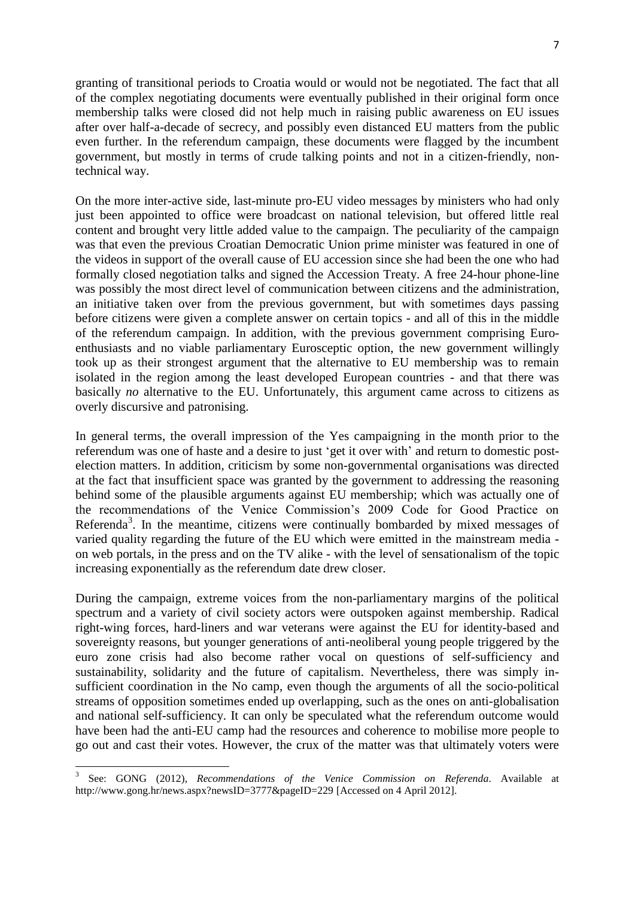granting of transitional periods to Croatia would or would not be negotiated. The fact that all of the complex negotiating documents were eventually published in their original form once membership talks were closed did not help much in raising public awareness on EU issues after over half-a-decade of secrecy, and possibly even distanced EU matters from the public even further. In the referendum campaign, these documents were flagged by the incumbent government, but mostly in terms of crude talking points and not in a citizen-friendly, nontechnical way.

On the more inter-active side, last-minute pro-EU video messages by ministers who had only just been appointed to office were broadcast on national television, but offered little real content and brought very little added value to the campaign. The peculiarity of the campaign was that even the previous Croatian Democratic Union prime minister was featured in one of the videos in support of the overall cause of EU accession since she had been the one who had formally closed negotiation talks and signed the Accession Treaty. A free 24-hour phone-line was possibly the most direct level of communication between citizens and the administration, an initiative taken over from the previous government, but with sometimes days passing before citizens were given a complete answer on certain topics - and all of this in the middle of the referendum campaign. In addition, with the previous government comprising Euroenthusiasts and no viable parliamentary Eurosceptic option, the new government willingly took up as their strongest argument that the alternative to EU membership was to remain isolated in the region among the least developed European countries - and that there was basically *no* alternative to the EU. Unfortunately, this argument came across to citizens as overly discursive and patronising.

In general terms, the overall impression of the Yes campaigning in the month prior to the referendum was one of haste and a desire to just 'get it over with' and return to domestic postelection matters. In addition, criticism by some non-governmental organisations was directed at the fact that insufficient space was granted by the government to addressing the reasoning behind some of the plausible arguments against EU membership; which was actually one of the recommendations of the Venice Commission's 2009 Code for Good Practice on Referenda<sup>3</sup>. In the meantime, citizens were continually bombarded by mixed messages of varied quality regarding the future of the EU which were emitted in the mainstream media on web portals, in the press and on the TV alike - with the level of sensationalism of the topic increasing exponentially as the referendum date drew closer.

During the campaign, extreme voices from the non-parliamentary margins of the political spectrum and a variety of civil society actors were outspoken against membership. Radical right-wing forces, hard-liners and war veterans were against the EU for identity-based and sovereignty reasons, but younger generations of anti-neoliberal young people triggered by the euro zone crisis had also become rather vocal on questions of self-sufficiency and sustainability, solidarity and the future of capitalism. Nevertheless, there was simply insufficient coordination in the No camp, even though the arguments of all the socio-political streams of opposition sometimes ended up overlapping, such as the ones on anti-globalisation and national self-sufficiency. It can only be speculated what the referendum outcome would have been had the anti-EU camp had the resources and coherence to mobilise more people to go out and cast their votes. However, the crux of the matter was that ultimately voters were

**.** 

<sup>3</sup> See: GONG (2012), *Recommendations of the Venice Commission on Referenda*. Available at http://www.gong.hr/news.aspx?newsID=3777&pageID=229 [Accessed on 4 April 2012].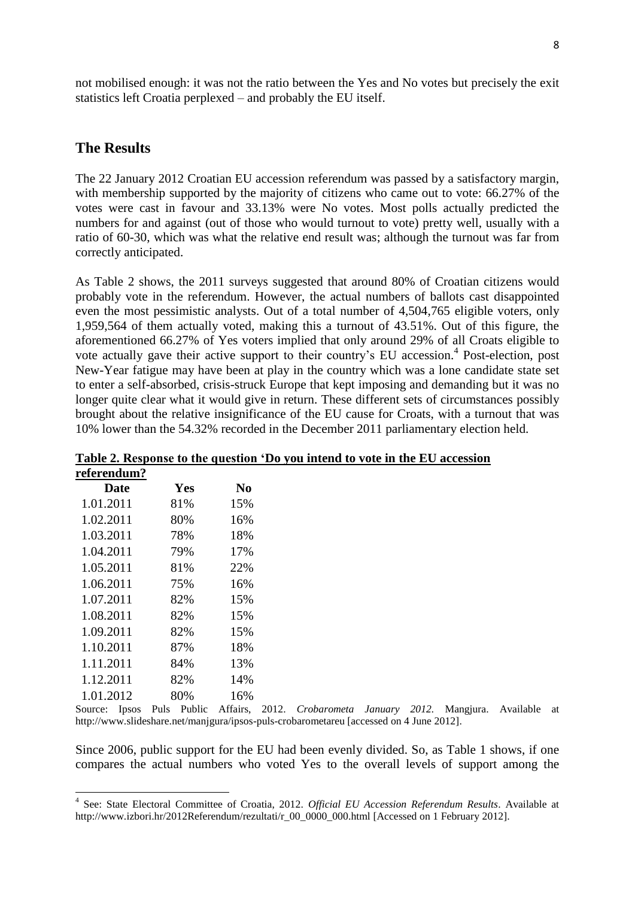not mobilised enough: it was not the ratio between the Yes and No votes but precisely the exit statistics left Croatia perplexed – and probably the EU itself.

### **The Results**

The 22 January 2012 Croatian EU accession referendum was passed by a satisfactory margin, with membership supported by the majority of citizens who came out to vote: 66.27% of the votes were cast in favour and 33.13% were No votes. Most polls actually predicted the numbers for and against (out of those who would turnout to vote) pretty well, usually with a ratio of 60-30, which was what the relative end result was; although the turnout was far from correctly anticipated.

As Table 2 shows, the 2011 surveys suggested that around 80% of Croatian citizens would probably vote in the referendum. However, the actual numbers of ballots cast disappointed even the most pessimistic analysts. Out of a total number of 4,504,765 eligible voters, only 1,959,564 of them actually voted, making this a turnout of 43.51%. Out of this figure, the aforementioned 66.27% of Yes voters implied that only around 29% of all Croats eligible to vote actually gave their active support to their country's EU accession.<sup>4</sup> Post-election, post New-Year fatigue may have been at play in the country which was a lone candidate state set to enter a self-absorbed, crisis-struck Europe that kept imposing and demanding but it was no longer quite clear what it would give in return. These different sets of circumstances possibly brought about the relative insignificance of the EU cause for Croats, with a turnout that was 10% lower than the 54.32% recorded in the December 2011 parliamentary election held.

| referendum? |     |     |  |
|-------------|-----|-----|--|
| Date        | Yes | N0  |  |
| 1.01.2011   | 81% | 15% |  |
| 1.02.2011   | 80% | 16% |  |
| 1.03.2011   | 78% | 18% |  |
| 1.04.2011   | 79% | 17% |  |
| 1.05.2011   | 81% | 22% |  |
| 1.06.2011   | 75% | 16% |  |
| 1.07.2011   | 82% | 15% |  |
| 1.08.2011   | 82% | 15% |  |
| 1.09.2011   | 82% | 15% |  |
| 1.10.2011   | 87% | 18% |  |
| 1.11.2011   | 84% | 13% |  |
| 1.12.2011   | 82% | 14% |  |
| 1.01.2012   | 80% | 16% |  |

**Table 2. Response to the question 'Do you intend to vote in the EU accession**

Source: Ipsos Puls Public Affairs, 2012. *Crobarometa January 2012.* Mangjura. Available at http://www.slideshare.net/manjgura/ipsos-puls-crobarometareu [accessed on 4 June 2012].

Since 2006, public support for the EU had been evenly divided. So, as Table 1 shows, if one compares the actual numbers who voted Yes to the overall levels of support among the

 4 See: State Electoral Committee of Croatia, 2012. *Official EU Accession Referendum Results*. Available at http://www.izbori.hr/2012Referendum/rezultati/r\_00\_0000\_000.html [Accessed on 1 February 2012].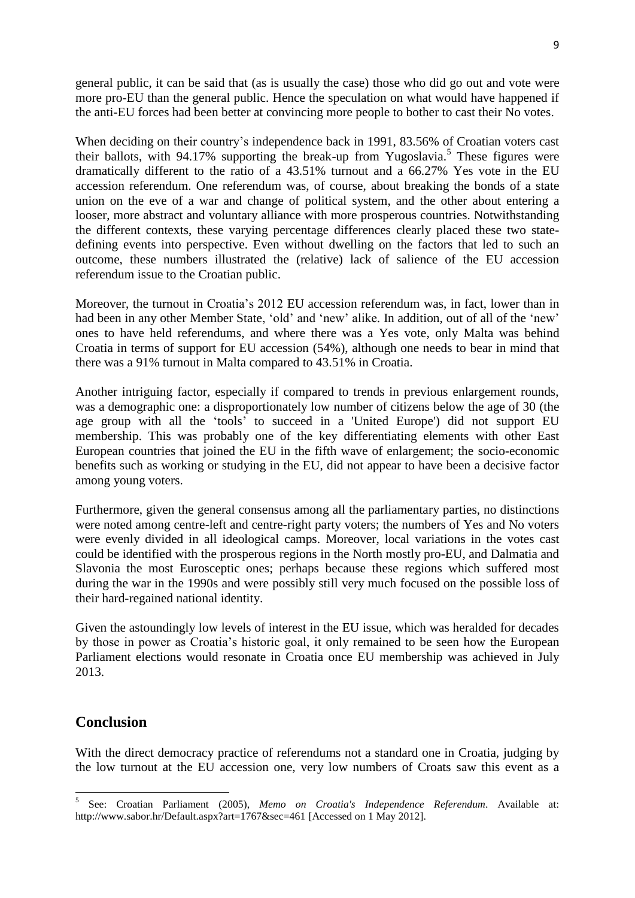general public, it can be said that (as is usually the case) those who did go out and vote were more pro-EU than the general public. Hence the speculation on what would have happened if the anti-EU forces had been better at convincing more people to bother to cast their No votes.

When deciding on their country's independence back in 1991, 83.56% of Croatian voters cast their ballots, with 94.17% supporting the break-up from Yugoslavia. 5 These figures were dramatically different to the ratio of a 43.51% turnout and a 66.27% Yes vote in the EU accession referendum. One referendum was, of course, about breaking the bonds of a state union on the eve of a war and change of political system, and the other about entering a looser, more abstract and voluntary alliance with more prosperous countries. Notwithstanding the different contexts, these varying percentage differences clearly placed these two statedefining events into perspective. Even without dwelling on the factors that led to such an outcome, these numbers illustrated the (relative) lack of salience of the EU accession referendum issue to the Croatian public.

Moreover, the turnout in Croatia's 2012 EU accession referendum was, in fact, lower than in had been in any other Member State, 'old' and 'new' alike. In addition, out of all of the 'new' ones to have held referendums, and where there was a Yes vote, only Malta was behind Croatia in terms of support for EU accession (54%), although one needs to bear in mind that there was a 91% turnout in Malta compared to 43.51% in Croatia.

Another intriguing factor, especially if compared to trends in previous enlargement rounds, was a demographic one: a disproportionately low number of citizens below the age of 30 (the age group with all the 'tools' to succeed in a 'United Europe') did not support EU membership. This was probably one of the key differentiating elements with other East European countries that joined the EU in the fifth wave of enlargement; the socio-economic benefits such as working or studying in the EU, did not appear to have been a decisive factor among young voters.

Furthermore, given the general consensus among all the parliamentary parties, no distinctions were noted among centre-left and centre-right party voters; the numbers of Yes and No voters were evenly divided in all ideological camps. Moreover, local variations in the votes cast could be identified with the prosperous regions in the North mostly pro-EU, and Dalmatia and Slavonia the most Eurosceptic ones; perhaps because these regions which suffered most during the war in the 1990s and were possibly still very much focused on the possible loss of their hard-regained national identity.

Given the astoundingly low levels of interest in the EU issue, which was heralded for decades by those in power as Croatia's historic goal, it only remained to be seen how the European Parliament elections would resonate in Croatia once EU membership was achieved in July 2013.

## **Conclusion**

**.** 

With the direct democracy practice of referendums not a standard one in Croatia, judging by the low turnout at the EU accession one, very low numbers of Croats saw this event as a

<sup>5</sup> See: Croatian Parliament (2005), *Memo on Croatia's Independence Referendum*. Available at: http://www.sabor.hr/Default.aspx?art=1767&sec=461 [Accessed on 1 May 2012].